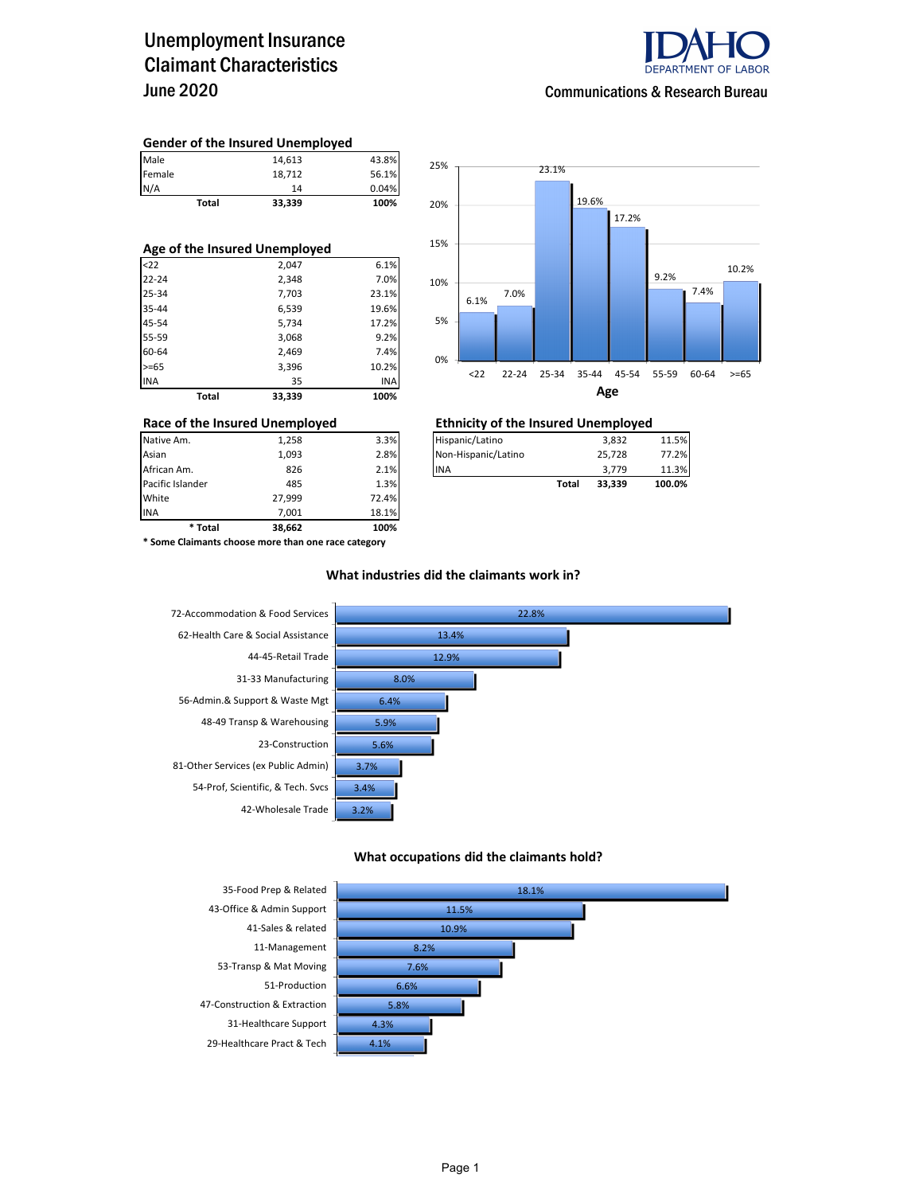### Unemployment Insurance Claimant Characteristics June 2020



### **Gender of the Insured Unemployed**

|        | <b>Total</b> | 33.339 | 100%  |
|--------|--------------|--------|-------|
| N/A    |              | 14     | 0.04% |
| Female |              | 18,712 | 56.1% |
| Male   |              | 14,613 | 43.8% |

| Age of the Insured Unemployed |              |        |       |  |  |  |  |  |
|-------------------------------|--------------|--------|-------|--|--|--|--|--|
| $22$                          |              | 2,047  | 6.1%  |  |  |  |  |  |
| $22 - 24$                     |              | 2,348  | 7.0%  |  |  |  |  |  |
| 25-34                         |              | 7,703  | 23.1% |  |  |  |  |  |
| 35-44                         |              | 6,539  | 19.6% |  |  |  |  |  |
| 45-54                         |              | 5,734  | 17.2% |  |  |  |  |  |
| 55-59                         |              | 3,068  | 9.2%  |  |  |  |  |  |
| 60-64                         |              | 2,469  | 7.4%  |  |  |  |  |  |
| $>= 65$                       |              | 3,396  | 10.2% |  |  |  |  |  |
| <b>INA</b>                    |              | 35     | INA   |  |  |  |  |  |
|                               | <b>Total</b> | 33,339 | 100%  |  |  |  |  |  |



|                  | Race of the Insured Unemployed | <b>Ethnicity of the Insured Unemployed</b> |                     |       |        |        |  |
|------------------|--------------------------------|--------------------------------------------|---------------------|-------|--------|--------|--|
| Native Am.       | 1.258                          | 3.3%                                       | Hispanic/Latino     |       | 3.832  | 11.5%  |  |
| Asian            | 1.093                          | 2.8%                                       | Non-Hispanic/Latino |       | 25.728 | 77.2%  |  |
| African Am.      | 826                            | 2.1%                                       | <b>IINA</b>         |       | 3.779  | 11.3%  |  |
| Pacific Islander | 485                            | 1.3%                                       |                     | Total | 33.339 | 100.0% |  |

INA 7,001 18.1% **\* Total 38,662 100% \* Some Claimants choose more than one race category**

Pacific Islander **1.3% 1.3% 1.3% 1.3% 1.3%** 

27,999 72.4%

#### **What industries did the claimants work in?**



#### **What occupations did the claimants hold?**

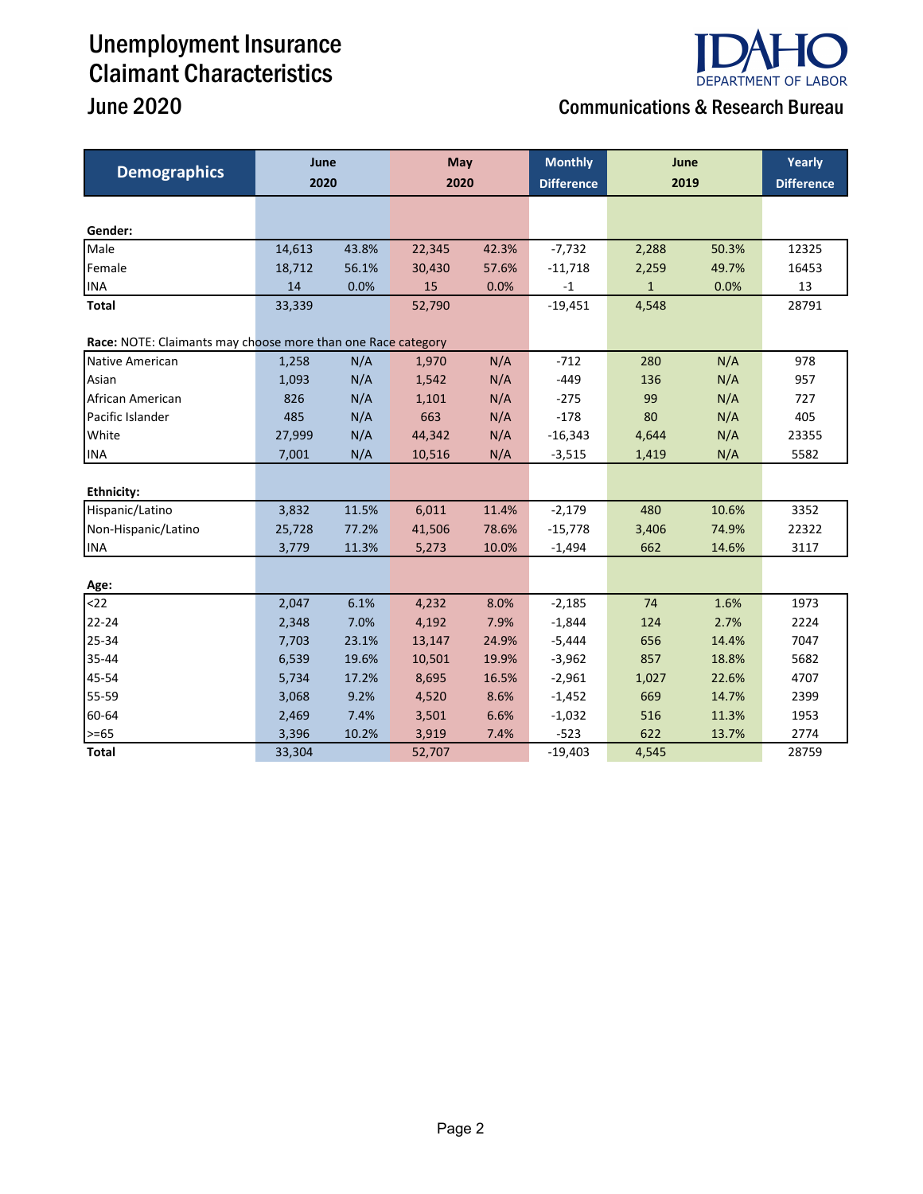## Unemployment Insurance Claimant Characteristics June  $2020$

# **DEPARTMENT OF LABOR**

|  | <b>Communications &amp; Research Bureau</b> |
|--|---------------------------------------------|
|--|---------------------------------------------|

| <b>Demographics</b>                                          | June<br>2020 |       | May<br>2020 |       | <b>Monthly</b><br><b>Difference</b> | June<br>2019 |       | Yearly<br><b>Difference</b> |
|--------------------------------------------------------------|--------------|-------|-------------|-------|-------------------------------------|--------------|-------|-----------------------------|
|                                                              |              |       |             |       |                                     |              |       |                             |
|                                                              |              |       |             |       |                                     |              |       |                             |
| Gender:                                                      |              |       |             |       |                                     |              |       |                             |
| Male                                                         | 14,613       | 43.8% | 22,345      | 42.3% | $-7,732$                            | 2,288        | 50.3% | 12325                       |
| Female                                                       | 18,712       | 56.1% | 30,430      | 57.6% | $-11,718$                           | 2,259        | 49.7% | 16453                       |
| <b>INA</b>                                                   | 14           | 0.0%  | 15          | 0.0%  | $-1$                                | $\mathbf{1}$ | 0.0%  | 13                          |
| <b>Total</b>                                                 | 33,339       |       | 52,790      |       | $-19,451$                           | 4,548        |       | 28791                       |
| Race: NOTE: Claimants may choose more than one Race category |              |       |             |       |                                     |              |       |                             |
| Native American                                              | 1,258        | N/A   | 1,970       | N/A   | $-712$                              | 280          | N/A   | 978                         |
| Asian                                                        | 1,093        | N/A   | 1,542       | N/A   | $-449$                              | 136          | N/A   | 957                         |
| African American                                             | 826          | N/A   | 1,101       | N/A   | $-275$                              | 99           | N/A   | 727                         |
| Pacific Islander                                             | 485          | N/A   | 663         | N/A   | $-178$                              | 80           | N/A   | 405                         |
| White                                                        | 27,999       | N/A   | 44,342      | N/A   | $-16,343$                           | 4,644        | N/A   | 23355                       |
| <b>INA</b>                                                   | 7,001        | N/A   | 10,516      | N/A   | $-3,515$                            | 1,419        | N/A   | 5582                        |
|                                                              |              |       |             |       |                                     |              |       |                             |
| <b>Ethnicity:</b>                                            |              |       |             |       |                                     |              |       |                             |
| Hispanic/Latino                                              | 3,832        | 11.5% | 6,011       | 11.4% | $-2,179$                            | 480          | 10.6% | 3352                        |
| Non-Hispanic/Latino                                          | 25,728       | 77.2% | 41,506      | 78.6% | $-15,778$                           | 3,406        | 74.9% | 22322                       |
| <b>INA</b>                                                   | 3,779        | 11.3% | 5,273       | 10.0% | $-1,494$                            | 662          | 14.6% | 3117                        |
|                                                              |              |       |             |       |                                     |              |       |                             |
| Age:                                                         |              |       |             |       |                                     |              |       |                             |
| $22$                                                         | 2,047        | 6.1%  | 4,232       | 8.0%  | $-2,185$                            | 74           | 1.6%  | 1973                        |
| 22-24                                                        | 2,348        | 7.0%  | 4,192       | 7.9%  | $-1,844$                            | 124          | 2.7%  | 2224                        |
| 25-34                                                        | 7,703        | 23.1% | 13,147      | 24.9% | $-5,444$                            | 656          | 14.4% | 7047                        |
| 35-44                                                        | 6,539        | 19.6% | 10,501      | 19.9% | $-3,962$                            | 857          | 18.8% | 5682                        |
| 45-54                                                        | 5,734        | 17.2% | 8,695       | 16.5% | $-2,961$                            | 1,027        | 22.6% | 4707                        |
| 55-59                                                        | 3,068        | 9.2%  | 4,520       | 8.6%  | $-1,452$                            | 669          | 14.7% | 2399                        |
| 60-64                                                        | 2,469        | 7.4%  | 3,501       | 6.6%  | $-1,032$                            | 516          | 11.3% | 1953                        |
| $>= 65$                                                      | 3,396        | 10.2% | 3,919       | 7.4%  | $-523$                              | 622          | 13.7% | 2774                        |
| <b>Total</b>                                                 | 33,304       |       | 52,707      |       | $-19,403$                           | 4,545        |       | 28759                       |